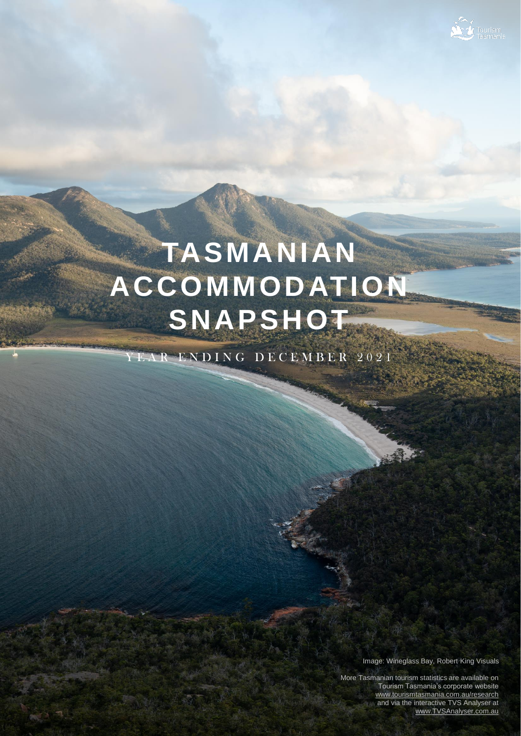

# **TASMANIAN ACCOMMODATION SNAPSHOT**

Y E A R E N D I N G D E C E M B E R 2021

Image: Wineglass Bay, Robert King Visuals

More Tasmanian tourism statistics are available on Tourism Tasmania's corporate website [www.tourismtasmania.com.au/research](http://www.tourismtasmania.com.au/research) and via the interactive TVS Analyser at [www.TVSAnalyser.com.au](http://www.tvsanalyser.com.au/)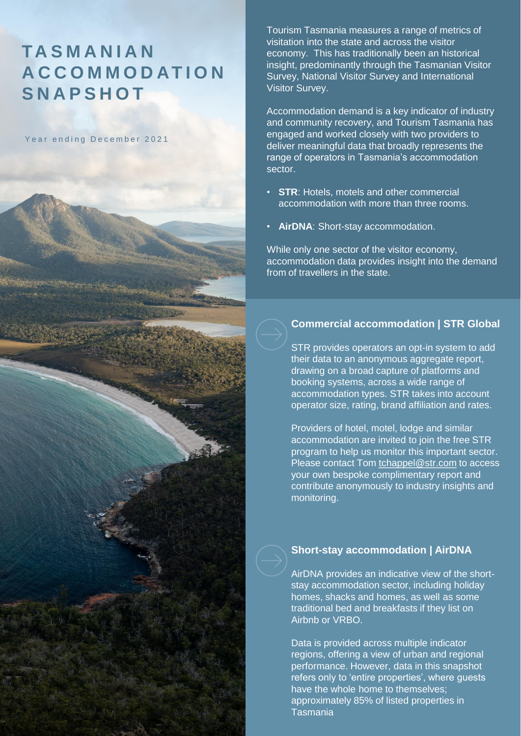### **TA S M A N I A N A C C O M M O D AT I O N S N A P S H O T**

Year ending December 2021

Tourism Tasmania measures a range of metrics of visitation into the state and across the visitor economy. This has traditionally been an historical insight, predominantly through the Tasmanian Visitor Survey, National Visitor Survey and International Visitor Survey.

Accommodation demand is a key indicator of industry and community recovery, and Tourism Tasmania has engaged and worked closely with two providers to deliver meaningful data that broadly represents the range of operators in Tasmania's accommodation sector.

- **STR**: Hotels, motels and other commercial accommodation with more than three rooms.
- **AirDNA: Short-stay accommodation.**

While only one sector of the visitor economy, accommodation data provides insight into the demand from of travellers in the state.

### **Commercial accommodation | STR Global**

STR provides operators an opt-in system to add their data to an anonymous aggregate report, drawing on a broad capture of platforms and booking systems, across a wide range of accommodation types. STR takes into account operator size, rating, brand affiliation and rates.

Providers of hotel, motel, lodge and similar accommodation are invited to join the free STR program to help us monitor this important sector. Please contact Tom [tchappel@str.com](mailto:tchappel@str.com) to access your own bespoke complimentary report and contribute anonymously to industry insights and monitoring.

### **Short-stay accommodation | AirDNA**

AirDNA provides an indicative view of the shortstay accommodation sector, including holiday homes, shacks and homes, as well as some traditional bed and breakfasts if they list on Airbnb or VRBO.

Data is provided across multiple indicator regions, offering a view of urban and regional performance. However, data in this snapshot refers only to 'entire properties', where guests have the whole home to themselves; approximately 85% of listed properties in Tasmania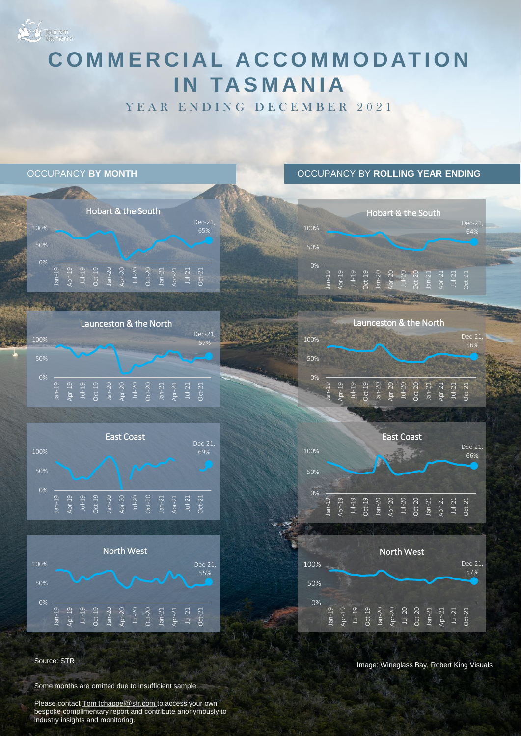# Tourism<br>Tasmania **COMMERCIAL ACCOMMODATION IN TASMANIA**

YEAR ENDING DECEMBER 2021



Source: STR

Some months are omitted due to insufficient sample.

Please contact Tom tchappel@str.com to access your own bespoke complimentary report and contribute anonymously to industry insights and monitoring.

Image: Wineglass Bay, Robert King Visuals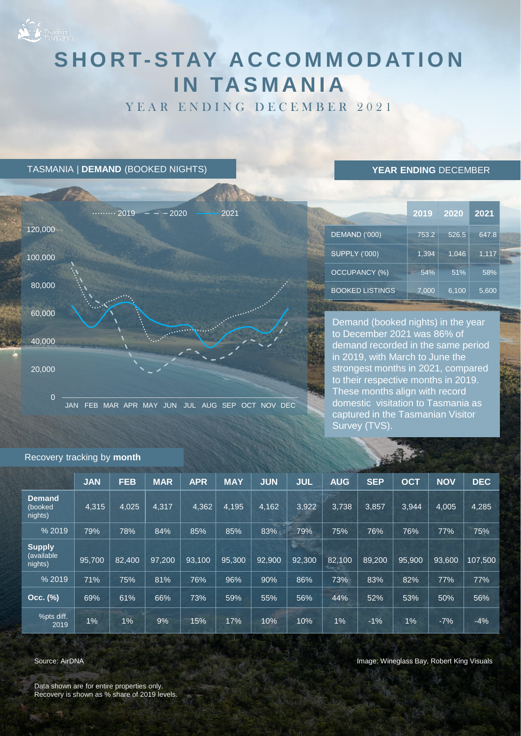

## SHORT-STAY ACCOMMODATION **IN TASMANIA**

YEAR ENDING DECEMBER 2021

TASMANIA | **DEMAND** (BOOKED NIGHTS)



### **YEAR ENDING** DECEMBER

|                        | 2019  | 2020  | 2021  |
|------------------------|-------|-------|-------|
| DEMAND ('000)          | 753.2 | 526.5 | 647.8 |
| <b>SUPPLY ('000)</b>   | 1,394 | 1,046 | 1,117 |
| <b>OCCUPANCY (%)</b>   | 54%   | 51%   | 58%   |
| <b>BOOKED LISTINGS</b> | 7,000 | 6,100 | 5,600 |

Demand (booked nights) in the year to December 2021 was 86% of demand recorded in the same period in 2019, with March to June the strongest months in 2021, compared to their respective months in 2019. These months align with record domestic visitation to Tasmania as captured in the Tasmanian Visitor Survey (TVS)

|                                        |            |            |            |            |            |            |            |            | <b>STATE</b> |            |            |            |  |
|----------------------------------------|------------|------------|------------|------------|------------|------------|------------|------------|--------------|------------|------------|------------|--|
|                                        | <b>JAN</b> | <b>FEB</b> | <b>MAR</b> | <b>APR</b> | <b>MAY</b> | <b>JUN</b> | <b>JUL</b> | <b>AUG</b> | <b>SEP</b>   | <b>OCT</b> | <b>NOV</b> | <b>DEC</b> |  |
| <b>Demand</b><br>(booked<br>nights)    | 4,315      | 4,025      | 4.317      | 4,362      | 4,195      | 4,162      | 3,922      | 3.738      | 3,857        | 3,944      | 4,005      | 4,285      |  |
| % 2019                                 | 79%        | 78%        | 84%        | 85%        | 85%        | 83%        | 79%        | 75%        | 76%          | 76%        | 77%        | 75%        |  |
| <b>Supply</b><br>(available<br>nights) | 95.700     | 82,400     | 97.200     | 93,100     | 95,300     | 92.900     | 92.300     | 82.100     | 89.200       | 95,900     | 93.600     | 107.500    |  |
| % 2019                                 | 71%        | 75%        | 81%        | 76%        | 96%        | 90%        | 86%        | 73%        | 83%          | 82%        | 77%        | 77%        |  |
| Occ. (%)                               | 69%        | 61%        | 66%        | 73%        | 59%        | 55%        | 56%        | 44%        | 52%          | 53%        | 50%        | 56%        |  |
| %pts diff.<br>2019                     | 1%         | 1%         | 9%         | 15%        | 17%        | 10%        | 10%        | 1%         | $-1%$        | 1%         | $-7%$      | $-4%$      |  |

#### Recovery tracking by **month**

Source: AirDNA

Data shown are for entire properties only. Recovery is shown as % share of 2019 levels. Image: Wineglass Bay, Robert King Visuals